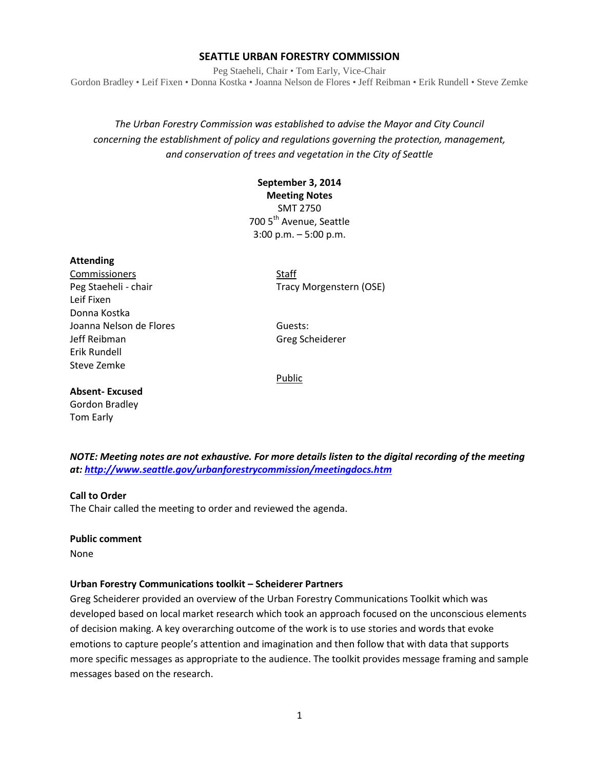## **SEATTLE URBAN FORESTRY COMMISSION**

Peg Staeheli, Chair • Tom Early, Vice-Chair Gordon Bradley • Leif Fixen • Donna Kostka • Joanna Nelson de Flores • Jeff Reibman • Erik Rundell • Steve Zemke

*The Urban Forestry Commission was established to advise the Mayor and City Council concerning the establishment of policy and regulations governing the protection, management, and conservation of trees and vegetation in the City of Seattle*

# **September 3, 2014 Meeting Notes** SMT 2750

700 5<sup>th</sup> Avenue, Seattle 3:00 p.m. – 5:00 p.m.

### **Attending**

Commissioners Staff Leif Fixen Donna Kostka Joanna Nelson de Flores **Guests:** Guests: Jeff Reibman Greg Scheiderer Erik Rundell Steve Zemke

Peg Staeheli - chair Tracy Morgenstern (OSE)

Public

## **Absent- Excused**

Gordon Bradley Tom Early

*NOTE: Meeting notes are not exhaustive. For more details listen to the digital recording of the meeting at:<http://www.seattle.gov/urbanforestrycommission/meetingdocs.htm>*

### **Call to Order**

The Chair called the meeting to order and reviewed the agenda.

### **Public comment**

None

### **Urban Forestry Communications toolkit – Scheiderer Partners**

Greg Scheiderer provided an overview of the Urban Forestry Communications Toolkit which was developed based on local market research which took an approach focused on the unconscious elements of decision making. A key overarching outcome of the work is to use stories and words that evoke emotions to capture people's attention and imagination and then follow that with data that supports more specific messages as appropriate to the audience. The toolkit provides message framing and sample messages based on the research.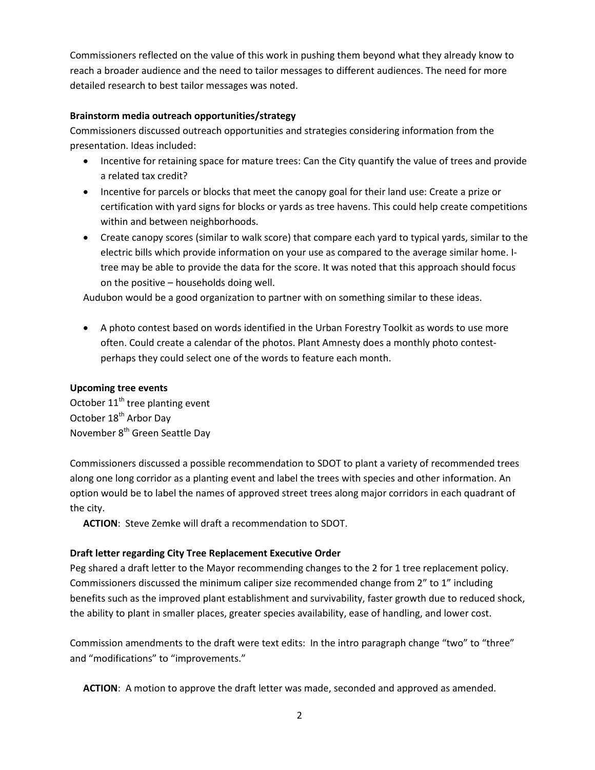Commissioners reflected on the value of this work in pushing them beyond what they already know to reach a broader audience and the need to tailor messages to different audiences. The need for more detailed research to best tailor messages was noted.

# **Brainstorm media outreach opportunities/strategy**

Commissioners discussed outreach opportunities and strategies considering information from the presentation. Ideas included:

- Incentive for retaining space for mature trees: Can the City quantify the value of trees and provide a related tax credit?
- Incentive for parcels or blocks that meet the canopy goal for their land use: Create a prize or certification with yard signs for blocks or yards as tree havens. This could help create competitions within and between neighborhoods.
- Create canopy scores (similar to walk score) that compare each yard to typical yards, similar to the electric bills which provide information on your use as compared to the average similar home. Itree may be able to provide the data for the score. It was noted that this approach should focus on the positive – households doing well.

Audubon would be a good organization to partner with on something similar to these ideas.

• A photo contest based on words identified in the Urban Forestry Toolkit as words to use more often. Could create a calendar of the photos. Plant Amnesty does a monthly photo contestperhaps they could select one of the words to feature each month.

# **Upcoming tree events**

October  $11<sup>th</sup>$  tree planting event October 18<sup>th</sup> Arbor Day November 8<sup>th</sup> Green Seattle Day

Commissioners discussed a possible recommendation to SDOT to plant a variety of recommended trees along one long corridor as a planting event and label the trees with species and other information. An option would be to label the names of approved street trees along major corridors in each quadrant of the city.

**ACTION**: Steve Zemke will draft a recommendation to SDOT.

# **Draft letter regarding City Tree Replacement Executive Order**

Peg shared a draft letter to the Mayor recommending changes to the 2 for 1 tree replacement policy. Commissioners discussed the minimum caliper size recommended change from 2" to 1" including benefits such as the improved plant establishment and survivability, faster growth due to reduced shock, the ability to plant in smaller places, greater species availability, ease of handling, and lower cost.

Commission amendments to the draft were text edits: In the intro paragraph change "two" to "three" and "modifications" to "improvements."

**ACTION**: A motion to approve the draft letter was made, seconded and approved as amended.